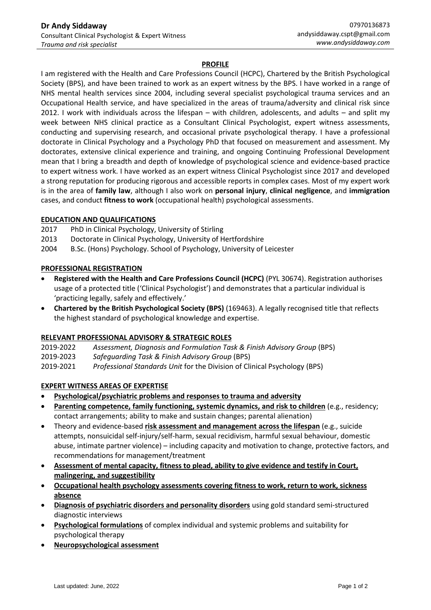# **PROFILE**

I am registered with the Health and Care Professions Council (HCPC), Chartered by the British Psychological Society (BPS), and have been trained to work as an expert witness by the BPS. I have worked in a range of NHS mental health services since 2004, including several specialist psychological trauma services and an Occupational Health service, and have specialized in the areas of trauma/adversity and clinical risk since 2012. I work with individuals across the lifespan – with children, adolescents, and adults – and split my week between NHS clinical practice as a Consultant Clinical Psychologist, expert witness assessments, conducting and supervising research, and occasional private psychological therapy. I have a professional doctorate in Clinical Psychology and a Psychology PhD that focused on measurement and assessment. My doctorates, extensive clinical experience and training, and ongoing Continuing Professional Development mean that I bring a breadth and depth of knowledge of psychological science and evidence-based practice to expert witness work. I have worked as an expert witness Clinical Psychologist since 2017 and developed a strong reputation for producing rigorous and accessible reports in complex cases. Most of my expert work is in the area of **family law**, although I also work on **personal injury**, **clinical negligence**, and **immigration** cases, and conduct **fitness to work** (occupational health) psychological assessments.

#### **EDUCATION AND QUALIFICATIONS**

- 2017 PhD in Clinical Psychology, University of Stirling
- 2013 Doctorate in Clinical Psychology, University of Hertfordshire
- 2004 B.Sc. (Hons) Psychology. School of Psychology, University of Leicester

#### **PROFESSIONAL REGISTRATION**

- **Registered with the Health and Care Professions Council (HCPC)** (PYL 30674). Registration authorises usage of a protected title ('Clinical Psychologist') and demonstrates that a particular individual is 'practicing legally, safely and effectively.'
- **Chartered by the British Psychological Society (BPS)** (169463). A legally recognised title that reflects the highest standard of psychological knowledge and expertise.

### **RELEVANT PROFESSIONAL ADVISORY & STRATEGIC ROLES**

| 2019-2022 | Assessment, Diagnosis and Formulation Task & Finish Advisory Group (BPS)  |
|-----------|---------------------------------------------------------------------------|
| 2019-2023 | Safeguarding Task & Finish Advisory Group (BPS)                           |
| 2010.2021 | Brofassional Standards Unit for the Division of Clinical Beychology (BBS) |

### 2019-2021 *Professional Standards Unit* for the Division of Clinical Psychology (BPS)

### **EXPERT WITNESS AREAS OF EXPERTISE**

- **Psychological/psychiatric problems and responses to trauma and adversity**
- **Parenting competence, family functioning, systemic dynamics, and risk to children** (e.g., residency; contact arrangements; ability to make and sustain changes; parental alienation)
- Theory and evidence-based **risk assessment and management across the lifespan** (e.g., suicide attempts, nonsuicidal self-injury/self-harm, sexual recidivism, harmful sexual behaviour, domestic abuse, intimate partner violence) – including capacity and motivation to change, protective factors, and recommendations for management/treatment
- **Assessment of mental capacity, fitness to plead, ability to give evidence and testify in Court, malingering, and suggestibility**
- **Occupational health psychology assessments covering fitness to work, return to work, sickness absence**
- **Diagnosis of psychiatric disorders and personality disorders** using gold standard semi-structured diagnostic interviews
- **Psychological formulations** of complex individual and systemic problems and suitability for psychological therapy
- **Neuropsychological assessment**